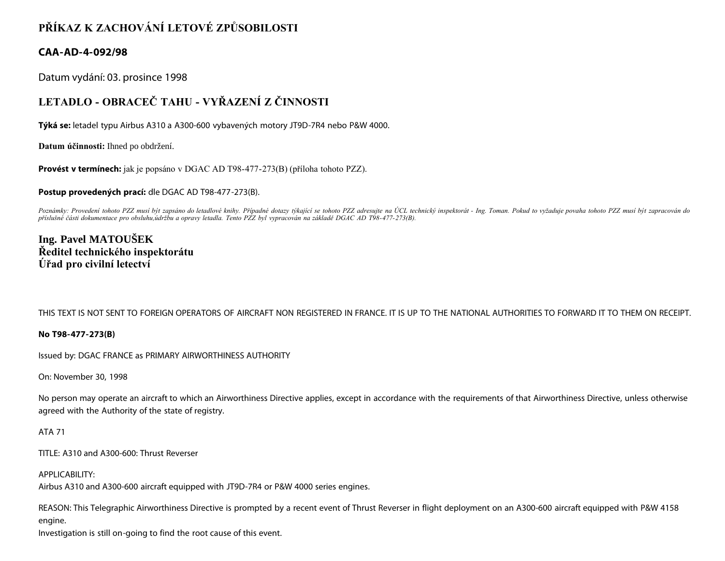# **PŘÍKAZ K ZACHOVÁNÍ LETOVÉ ZPŮSOBILOSTI**

### **CAA-AD-4-092/98**

Datum vydání: 03. prosince 1998

# **LETADLO - OBRACEČ TAHU - VYŘAZENÍ Z ČINNOSTI**

**Týká se:** letadel typu Airbus A310 a A300-600 vybavených motory JT9D-7R4 nebo P&W 4000.

**Datum účinnosti:** Ihned po obdržení.

**Provést v termínech:** jak je popsáno v DGAC AD T98-477-273(B) (příloha tohoto PZZ).

**Postup provedených prací:** dle DGAC AD T98-477-273(B).

Poznámky: Provedení tohoto PZZ musí být zapsáno do letadlové knihy. Případné dotazy týkající se tohoto PZZ adresujte na ÚCL technický inspektorát - Ing. Toman. Pokud to vyžaduje povaha tohoto PZZ musí být zapracován do *příslušné části dokumentace pro obsluhu,údržbu a opravy letadla. Tento PZZ byl vypracován na základě DGAC AD T98-477-273(B).*

## **Ing. Pavel MATOUŠEK Ředitel technického inspektorátu Úřad pro civilní letectví**

THIS TEXT IS NOT SENT TO FOREIGN OPERATORS OF AIRCRAFT NON REGISTERED IN FRANCE. IT IS UP TO THE NATIONAL AUTHORITIES TO FORWARD IT TO THEM ON RECEIPT.

#### **No T98-477-273(B)**

Issued by: DGAC FRANCE as PRIMARY AIRWORTHINESS AUTHORITY

On: November 30, 1998

No person may operate an aircraft to which an Airworthiness Directive applies, except in accordance with the requirements of that Airworthiness Directive, unless otherwise agreed with the Authority of the state of registry.

#### ATA 71

TITLE: A310 and A300-600: Thrust Reverser

#### APPLICABILITY:

Airbus A310 and A300-600 aircraft equipped with JT9D-7R4 or P&W 4000 series engines.

REASON: This Telegraphic Airworthiness Directive is prompted by a recent event of Thrust Reverser in flight deployment on an A300-600 aircraft equipped with P&W 4158 engine.

Investigation is still on-going to find the root cause of this event.